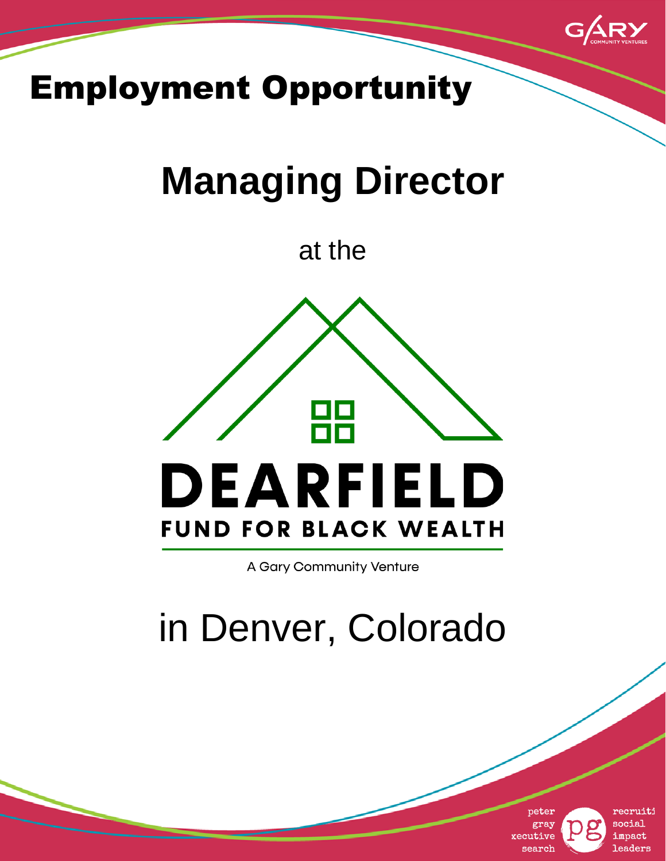

## Employment Opportunity

# **Managing Director**

at the



A Gary Community Venture

# in Denver, Colorado



recruiti **Caiocs** impact leaders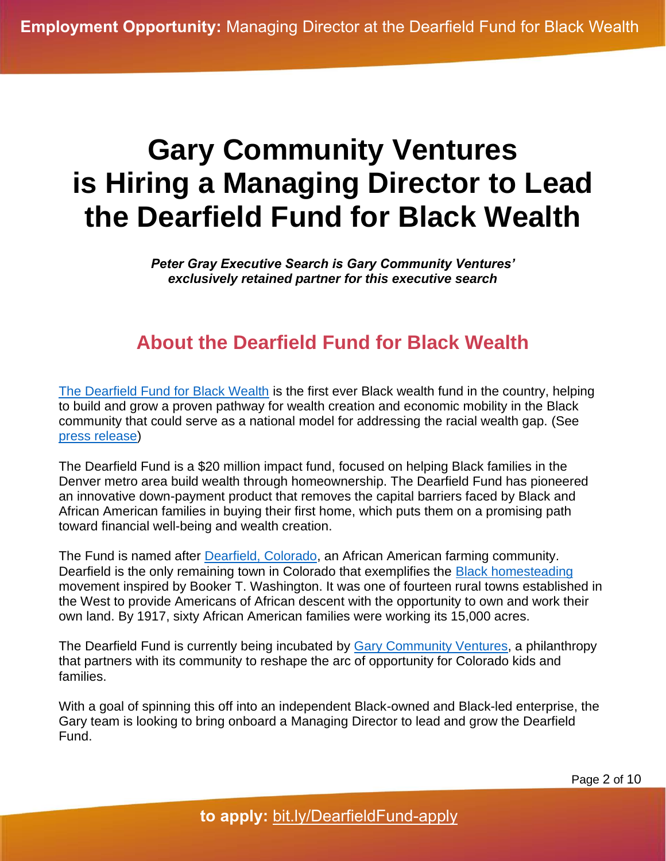## **Gary Community Ventures is Hiring a Managing Director to Lead the Dearfield Fund for Black Wealth**

*Peter Gray Executive Search is Gary Community Ventures' exclusively retained partner for this executive search*

#### **About the Dearfield Fund for Black Wealth**

[The Dearfield Fund for Black Wealth](https://www.dearfieldfund.com/) is the first ever Black wealth fund in the country, helping to build and grow a proven pathway for wealth creation and economic mobility in the Black community that could serve as a national model for addressing the racial wealth gap. (See [press release\)](https://garycommunity.org/content-category/press-releases-and-announcements/dearfield-fund-launches/)

The Dearfield Fund is a \$20 million impact fund, focused on helping Black families in the Denver metro area build wealth through homeownership. The Dearfield Fund has pioneered an innovative down-payment product that removes the capital barriers faced by Black and African American families in buying their first home, which puts them on a promising path toward financial well-being and wealth creation.

The Fund is named after [Dearfield, Colorado,](https://www.nps.gov/places/dearfield-colorado.htm) an African American farming community. Dearfield is the only remaining town in Colorado that exemplifies the **Black homesteading** movement inspired by Booker T. Washington. It was one of fourteen rural towns established in the West to provide Americans of African descent with the opportunity to own and work their own land. By 1917, sixty African American families were working its 15,000 acres.

The Dearfield Fund is currently being incubated by **Gary Community Ventures**, a philanthropy that partners with its community to reshape the arc of opportunity for Colorado kids and families.

With a goal of spinning this off into an independent Black-owned and Black-led enterprise, the Gary team is looking to bring onboard a Managing Director to lead and grow the Dearfield Fund.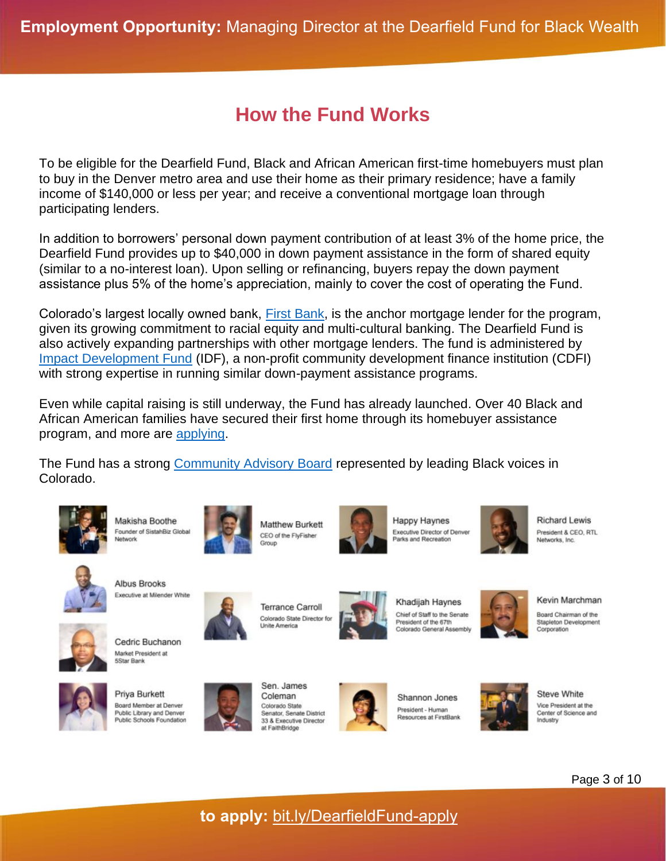### **How the Fund Works**

To be eligible for the Dearfield Fund, Black and African American first-time homebuyers must plan to buy in the Denver metro area and use their home as their primary residence; have a family income of \$140,000 or less per year; and receive a conventional mortgage loan through participating lenders.

In addition to borrowers' personal down payment contribution of at least 3% of the home price, the Dearfield Fund provides up to \$40,000 in down payment assistance in the form of shared equity (similar to a no-interest loan). Upon selling or refinancing, buyers repay the down payment assistance plus 5% of the home's appreciation, mainly to cover the cost of operating the Fund.

Colorado's largest locally owned bank, [First Bank,](https://www.efirstbank.com/) is the anchor mortgage lender for the program, given its growing commitment to racial equity and multi-cultural banking. The Dearfield Fund is also actively expanding partnerships with other mortgage lenders. The fund is administered by [Impact Development Fund](https://impactdf.org/) (IDF), a non-profit community development finance institution (CDFI) with strong expertise in running similar down-payment assistance programs.

Even while capital raising is still underway, the Fund has already launched. Over 40 Black and African American families have secured their first home through its homebuyer assistance program, and more are [applying.](https://www.dearfieldfund.com/find-out-if-youre-eligible/)

The Fund has a strong [Community Advisory Board](https://www.dearfieldfund.com/who-we-are/) represented by leading Black voices in Colorado.









**Happy Haynes** Executive Director of Denver Parks and Recreation



**Richard Lewis** President & CEO, RTL Networks, Inc.



**Albus Brooks** Executive at Milender White



Cedric Buchanon



Priya Burkett Board Member at Denver Public Library and Denver<br>Public Schools Foundation



**Terrance Carroll** Colorado State Director for Unite America

Sen. James

Coleman

Colorado State

at FaithBridge

Senator, Senate District

33 & Executive Director



Khadijah Haynes Chief of Staff to the Senate President of the 67th Colorado General Assembly

Kevin Marchman

Board Chairman of the Stapleton Development Corporation



Shannon Jones President - Human Resources at FirstBank



Steve White Vice President at the Center of Science and Industry



**to apply:** [bit.ly/DearfieldFund-apply](https://bit.ly/DearfieldFund-apply)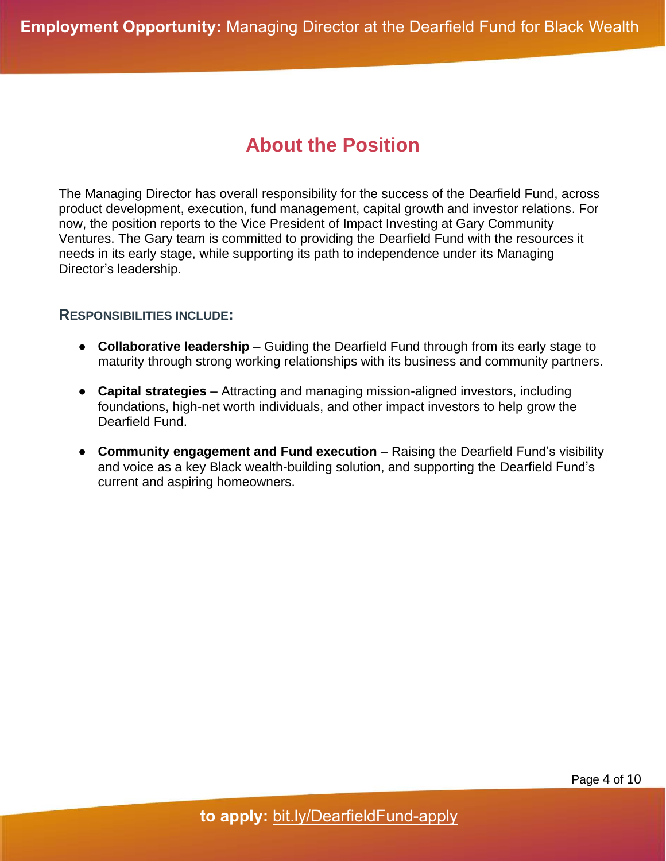#### **About the Position**

The Managing Director has overall responsibility for the success of the Dearfield Fund, across product development, execution, fund management, capital growth and investor relations. For now, the position reports to the Vice President of Impact Investing at Gary Community Ventures. The Gary team is committed to providing the Dearfield Fund with the resources it needs in its early stage, while supporting its path to independence under its Managing Director's leadership.

#### **RESPONSIBILITIES INCLUDE:**

- **Collaborative leadership** Guiding the Dearfield Fund through from its early stage to maturity through strong working relationships with its business and community partners.
- **Capital strategies** Attracting and managing mission-aligned investors, including foundations, high-net worth individuals, and other impact investors to help grow the Dearfield Fund.
- **Community engagement and Fund execution** Raising the Dearfield Fund's visibility and voice as a key Black wealth-building solution, and supporting the Dearfield Fund's current and aspiring homeowners.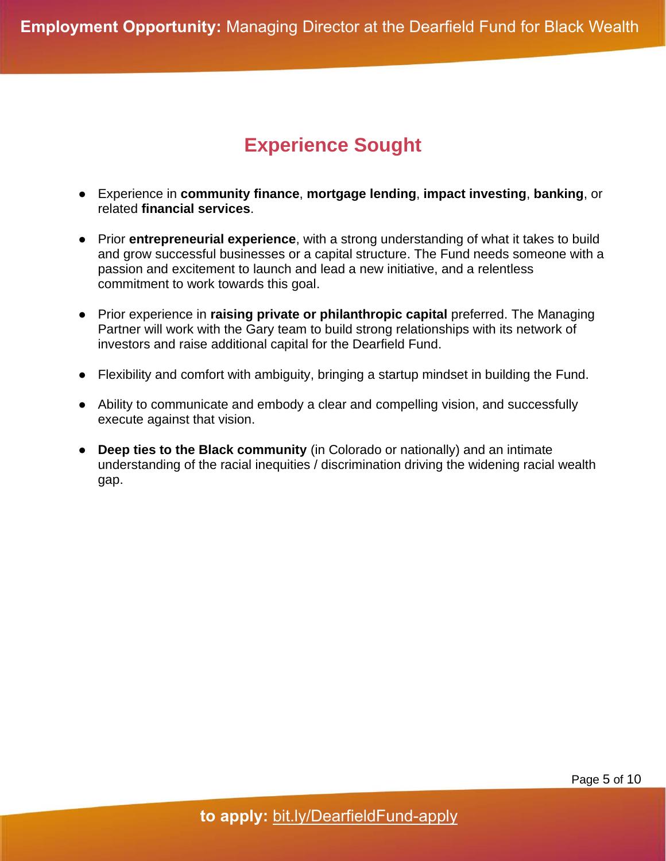### **Experience Sought**

- Experience in **community finance**, **mortgage lending**, **impact investing**, **banking**, or related **financial services**.
- Prior **entrepreneurial experience**, with a strong understanding of what it takes to build and grow successful businesses or a capital structure. The Fund needs someone with a passion and excitement to launch and lead a new initiative, and a relentless commitment to work towards this goal.
- Prior experience in **raising private or philanthropic capital** preferred. The Managing Partner will work with the Gary team to build strong relationships with its network of investors and raise additional capital for the Dearfield Fund.
- Flexibility and comfort with ambiguity, bringing a startup mindset in building the Fund.
- Ability to communicate and embody a clear and compelling vision, and successfully execute against that vision.
- **Deep ties to the Black community** (in Colorado or nationally) and an intimate understanding of the racial inequities / discrimination driving the widening racial wealth gap.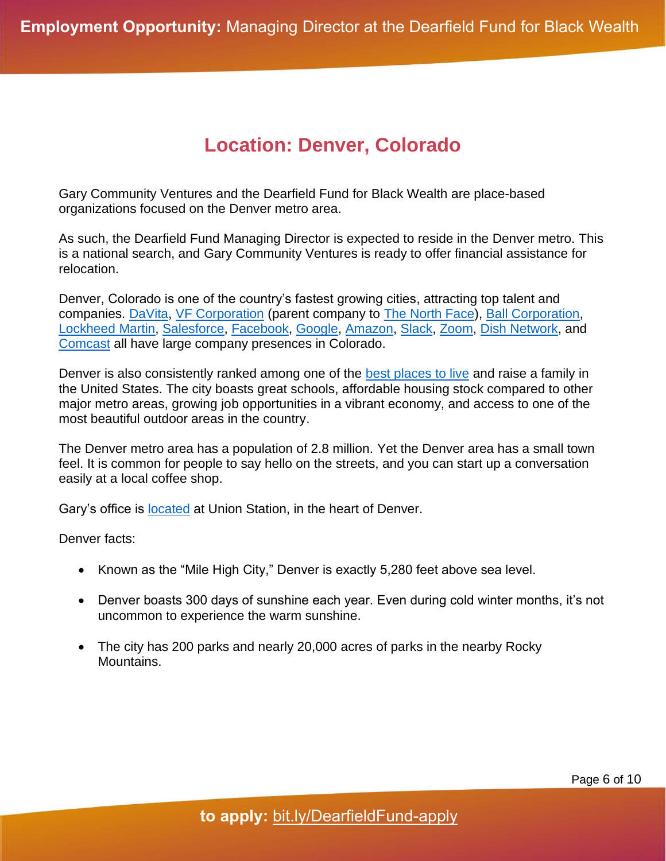#### **Location: Denver, Colorado**

Gary Community Ventures and the Dearfield Fund for Black Wealth are place-based organizations focused on the Denver metro area.

As such, the Dearfield Fund Managing Director is expected to reside in the Denver metro. This is a national search, and Gary Community Ventures is ready to offer financial assistance for relocation.

Denver, Colorado is one of the country's fastest growing cities, attracting top talent and companies. [DaVita,](https://www.davita.com/) [VF Corporation](https://www.vfc.com/) (parent company to [The North Face\)](https://www.thenorthface.com/), [Ball Corporation,](https://www.ball.com/) [Lockheed](https://www.lockheedmartin.com/en-us/index.html) Martin, [Salesforce,](https://www.salesforce.com/) [Facebook,](https://about.facebook.com/company-info/) [Google,](https://about.google/) [Amazon,](https://www.aboutamazon.com/) [Slack,](https://slack.com/about) [Zoom,](https://explore.zoom.us/en/about/) [Dish Network,](https://about.dish.com/company-info) and [Comcast](https://corporate.comcast.com/company) all have large company presences in Colorado.

Denver is also consistently ranked among one of the [best places to live](https://patch.com/colorado/denver/denver-no-2-place-nation-live-2020-u-s-news) and raise a family in the United States. The city boasts great schools, affordable housing stock compared to other major metro areas, growing job opportunities in a vibrant economy, and access to one of the most beautiful outdoor areas in the country.

The Denver metro area has a population of 2.8 million. Yet the Denver area has a small town feel. It is common for people to say hello on the streets, and you can start up a conversation easily at a local coffee shop.

Gary's office is [located](https://goo.gl/maps/kVVq1kB99FDAvwFr9) at Union Station, in the heart of Denver.

Denver facts:

- Known as the "Mile High City," Denver is exactly 5,280 feet above sea level.
- Denver boasts 300 days of sunshine each year. Even during cold winter months, it's not uncommon to experience the warm sunshine.
- The city has 200 parks and nearly 20,000 acres of parks in the nearby Rocky Mountains.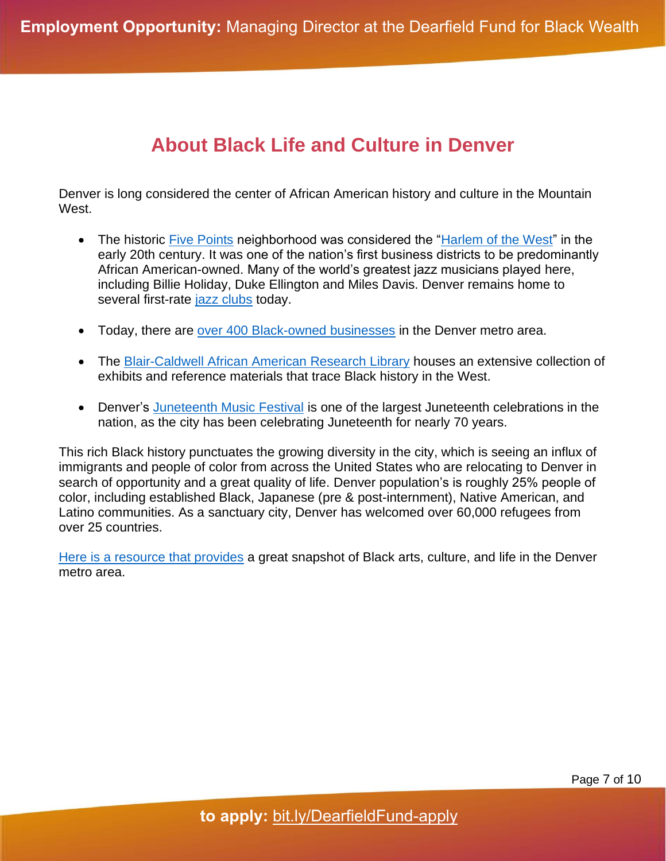#### **About Black Life and Culture in Denver**

Denver is long considered the center of African American history and culture in the Mountain West.

- The historic [Five Points](https://www.denver.org/neighborhoods/five-points/) neighborhood was considered the ["Harlem of the West"](https://kdvr.com/news/local/denvers-five-points-neighborhood-once-known-as-the-harlem-of-the-west/) in the early 20th century. It was one of the nation's first business districts to be predominantly African American-owned. Many of the world's greatest jazz musicians played here, including Billie Holiday, Duke Ellington and Miles Davis. Denver remains home to several first-rate [jazz clubs](https://www.thedenverear.com/live-jazz-music-denver/) today.
- Today, there are [over 400 Black-owned businesses](https://303magazine.com/2020/06/black-owned-businesses-denver/) in the Denver metro area.
- The [Blair-Caldwell African American Research Library](https://history.denverlibrary.org/blair) houses an extensive collection of exhibits and reference materials that trace Black history in the West.
- Denver's [Juneteenth Music Festival](https://www.juneteenthmusicfestival.com/) is one of the largest Juneteenth celebrations in the nation, as the city has been celebrating Juneteenth for nearly 70 years.

This rich Black history punctuates the growing diversity in the city, which is seeing an influx of immigrants and people of color from across the United States who are relocating to Denver in search of opportunity and a great quality of life. Denver population's is roughly 25% people of color, including established Black, Japanese (pre & post-internment), Native American, and Latino communities. As a sanctuary city, Denver has welcomed over 60,000 refugees from over 25 countries.

[Here is a resource that provides](https://denverite.com/2022/02/08/ways-to-celebrate-black-history-in-denver-this-month-and-year-round/) a great snapshot of Black arts, culture, and life in the Denver metro area.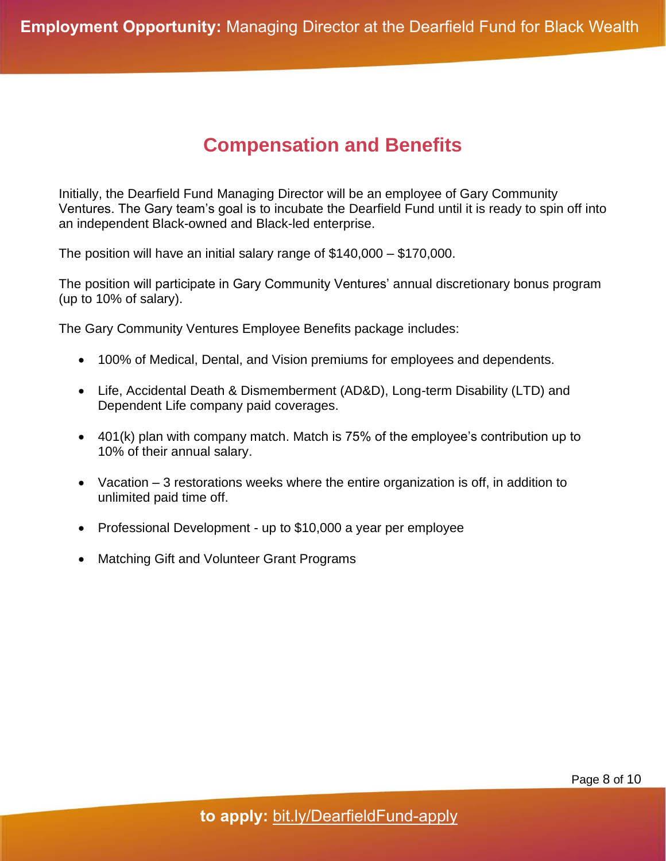#### **Compensation and Benefits**

Initially, the Dearfield Fund Managing Director will be an employee of Gary Community Ventures. The Gary team's goal is to incubate the Dearfield Fund until it is ready to spin off into an independent Black-owned and Black-led enterprise.

The position will have an initial salary range of \$140,000 – \$170,000.

The position will participate in Gary Community Ventures' annual discretionary bonus program (up to 10% of salary).

The Gary Community Ventures Employee Benefits package includes:

- 100% of Medical, Dental, and Vision premiums for employees and dependents.
- Life, Accidental Death & Dismemberment (AD&D), Long-term Disability (LTD) and Dependent Life company paid coverages.
- 401(k) plan with company match. Match is 75% of the employee's contribution up to 10% of their annual salary.
- Vacation 3 restorations weeks where the entire organization is off, in addition to unlimited paid time off.
- Professional Development up to \$10,000 a year per employee
- Matching Gift and Volunteer Grant Programs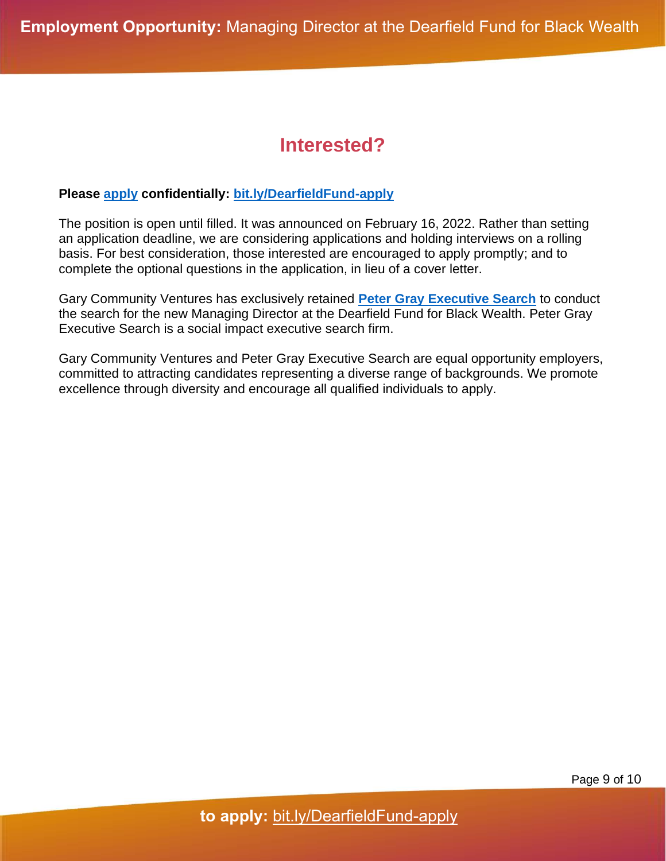#### **Interested?**

#### **Please [apply](https://bit.ly/DearfieldFund-apply) confidentially: [bit.ly/DearfieldFund-apply](https://bit.ly/DearfieldFund-apply)**

The position is open until filled. It was announced on February 16, 2022. Rather than setting an application deadline, we are considering applications and holding interviews on a rolling basis. For best consideration, those interested are encouraged to apply promptly; and to complete the optional questions in the application, in lieu of a cover letter.

Gary Community Ventures has exclusively retained **[Peter Gray Executive Search](https://www.petergraysearch.com/)** to conduct the search for the new Managing Director at the Dearfield Fund for Black Wealth. Peter Gray Executive Search is a social impact executive search firm.

Gary Community Ventures and Peter Gray Executive Search are equal opportunity employers, committed to attracting candidates representing a diverse range of backgrounds. We promote excellence through diversity and encourage all qualified individuals to apply.

Page 9 of 10